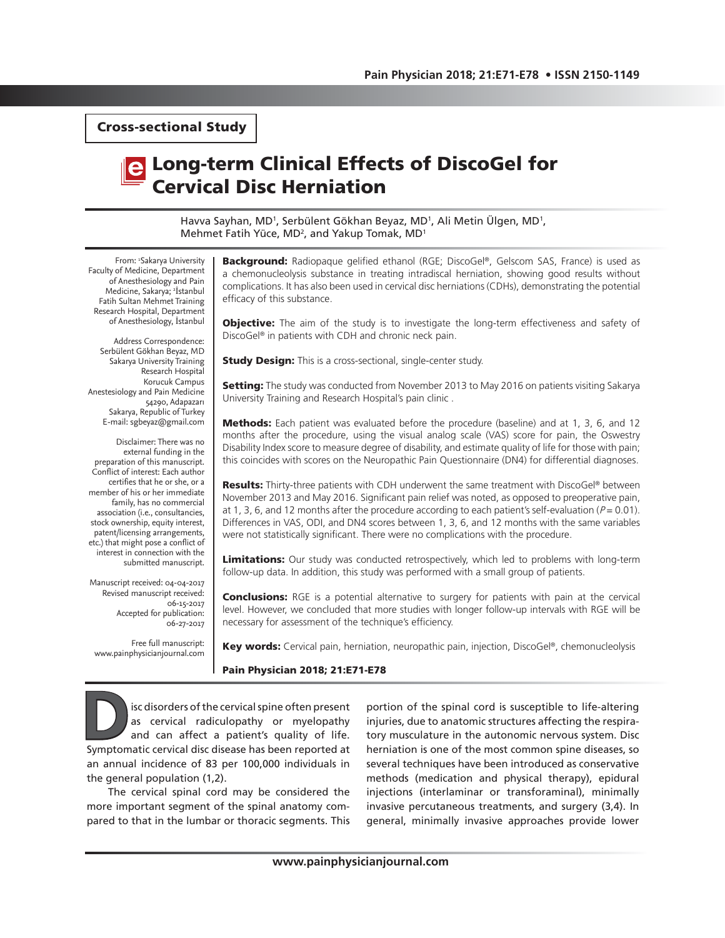Cross-sectional Study

# Long-term Clinical Effects of DiscoGel for Cervical Disc Herniation

Havva Sayhan, MD<sup>1</sup>, Serbülent Gökhan Beyaz, MD<sup>1</sup>, Ali Metin Ülgen, MD<sup>1</sup>, Mehmet Fatih Yüce, MD<sup>2</sup>, and Yakup Tomak, MD<sup>1</sup>

From: 1 Sakarya University Faculty of Medicine, Department of Anesthesiology and Pain Medicine, Sakarya; <sup>2</sup>İstanbul Fatih Sultan Mehmet Training Research Hospital, Department of Anesthesiology, İstanbul

Address Correspondence: Serbülent Gökhan Beyaz, MD Sakarya University Training Research Hospital Korucuk Campus Anestesiology and Pain Medicine 54290, Adapazarı Sakarya, Republic of Turkey E-mail: sgbeyaz@gmail.com

Disclaimer: There was no external funding in the preparation of this manuscript. Conflict of interest: Each author certifies that he or she, or a member of his or her immediate family, has no commercial association (i.e., consultancies, stock ownership, equity interest, patent/licensing arrangements, etc.) that might pose a conflict of interest in connection with the submitted manuscript.

Manuscript received: 04-04-2017 Revised manuscript received: 06-15-2017 Accepted for publication: 06-27-2017

Free full manuscript: www.painphysicianjournal.com Background: Radiopaque gelified ethanol (RGE; DiscoGel®, Gelscom SAS, France) is used as a chemonucleolysis substance in treating intradiscal herniation, showing good results without complications. It has also been used in cervical disc herniations (CDHs), demonstrating the potential efficacy of this substance.

**Objective:** The aim of the study is to investigate the long-term effectiveness and safety of DiscoGel® in patients with CDH and chronic neck pain.

**Study Design:** This is a cross-sectional, single-center study.

Setting: The study was conducted from November 2013 to May 2016 on patients visiting Sakarya University Training and Research Hospital's pain clinic .

Methods: Each patient was evaluated before the procedure (baseline) and at 1, 3, 6, and 12 months after the procedure, using the visual analog scale (VAS) score for pain, the Oswestry Disability Index score to measure degree of disability, and estimate quality of life for those with pain; this coincides with scores on the Neuropathic Pain Questionnaire (DN4) for differential diagnoses.

**Results:** Thirty-three patients with CDH underwent the same treatment with DiscoGel® between November 2013 and May 2016. Significant pain relief was noted, as opposed to preoperative pain, at 1, 3, 6, and 12 months after the procedure according to each patient's self-evaluation ( $P = 0.01$ ). Differences in VAS, ODI, and DN4 scores between 1, 3, 6, and 12 months with the same variables were not statistically significant. There were no complications with the procedure.

Limitations: Our study was conducted retrospectively, which led to problems with long-term follow-up data. In addition, this study was performed with a small group of patients.

**Conclusions:** RGE is a potential alternative to surgery for patients with pain at the cervical level. However, we concluded that more studies with longer follow-up intervals with RGE will be necessary for assessment of the technique's efficiency.

Key words: Cervical pain, herniation, neuropathic pain, injection, DiscoGel®, chemonucleolysis

#### Pain Physician 2018; 21:E71-E78

**DECES ACCES**<br>
SIGN ALTERNATION SECTION AND A CONTROLLED AND A CONTROLLED AND A CONTROLLED SUMPTION OF THE SUMPTION OF THE SUMPTION OF THE SUMPTION SUPPTION OF THE SUPPORT OF THE SUPPORT OF THE SUPPORT OF THE SUPPORT OF TH as cervical radiculopathy or myelopathy and can affect a patient's quality of life. Symptomatic cervical disc disease has been reported at an annual incidence of 83 per 100,000 individuals in the general population (1,2).

The cervical spinal cord may be considered the more important segment of the spinal anatomy compared to that in the lumbar or thoracic segments. This portion of the spinal cord is susceptible to life-altering injuries, due to anatomic structures affecting the respiratory musculature in the autonomic nervous system. Disc herniation is one of the most common spine diseases, so several techniques have been introduced as conservative methods (medication and physical therapy), epidural injections (interlaminar or transforaminal), minimally invasive percutaneous treatments, and surgery (3,4). In general, minimally invasive approaches provide lower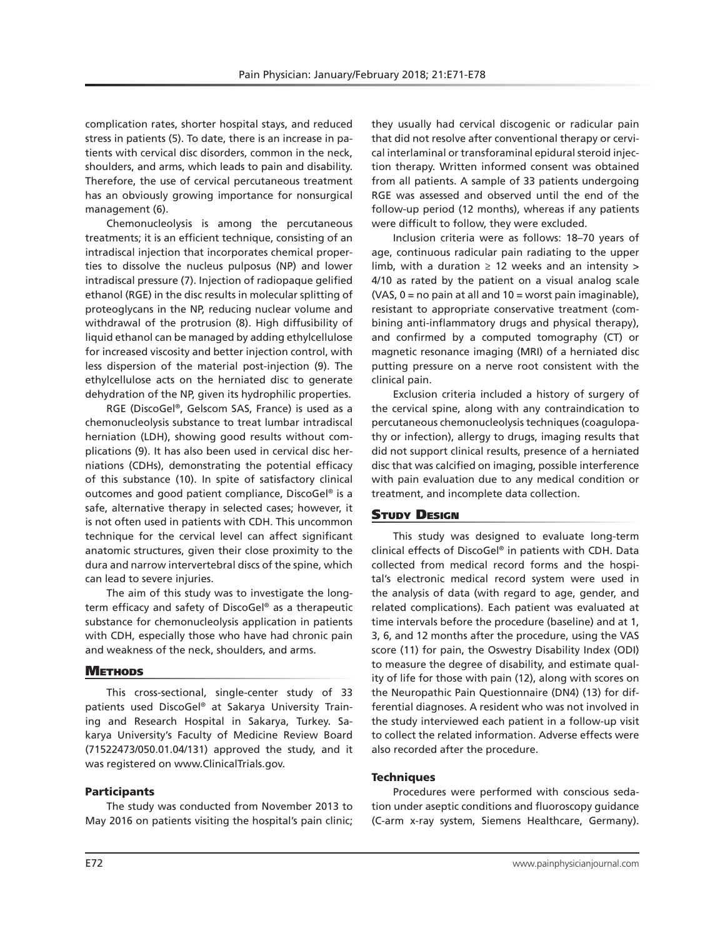complication rates, shorter hospital stays, and reduced stress in patients (5). To date, there is an increase in patients with cervical disc disorders, common in the neck, shoulders, and arms, which leads to pain and disability. Therefore, the use of cervical percutaneous treatment has an obviously growing importance for nonsurgical management (6).

Chemonucleolysis is among the percutaneous treatments; it is an efficient technique, consisting of an intradiscal injection that incorporates chemical properties to dissolve the nucleus pulposus (NP) and lower intradiscal pressure (7). Injection of radiopaque gelified ethanol (RGE) in the disc results in molecular splitting of proteoglycans in the NP, reducing nuclear volume and withdrawal of the protrusion (8). High diffusibility of liquid ethanol can be managed by adding ethylcellulose for increased viscosity and better injection control, with less dispersion of the material post-injection (9). The ethylcellulose acts on the herniated disc to generate dehydration of the NP, given its hydrophilic properties.

RGE (DiscoGel®, Gelscom SAS, France) is used as a chemonucleolysis substance to treat lumbar intradiscal herniation (LDH), showing good results without complications (9). It has also been used in cervical disc herniations (CDHs), demonstrating the potential efficacy of this substance (10). In spite of satisfactory clinical outcomes and good patient compliance, DiscoGel® is a safe, alternative therapy in selected cases; however, it is not often used in patients with CDH. This uncommon technique for the cervical level can affect significant anatomic structures, given their close proximity to the dura and narrow intervertebral discs of the spine, which can lead to severe injuries.

The aim of this study was to investigate the longterm efficacy and safety of DiscoGel® as a therapeutic substance for chemonucleolysis application in patients with CDH, especially those who have had chronic pain and weakness of the neck, shoulders, and arms.

# **METHODS**

This cross-sectional, single-center study of 33 patients used DiscoGel® at Sakarya University Training and Research Hospital in Sakarya, Turkey. Sakarya University's Faculty of Medicine Review Board (71522473/050.01.04/131) approved the study, and it was registered on www.ClinicalTrials.gov.

# **Participants**

The study was conducted from November 2013 to May 2016 on patients visiting the hospital's pain clinic;

they usually had cervical discogenic or radicular pain that did not resolve after conventional therapy or cervical interlaminal or transforaminal epidural steroid injection therapy. Written informed consent was obtained from all patients. A sample of 33 patients undergoing RGE was assessed and observed until the end of the follow-up period (12 months), whereas if any patients were difficult to follow, they were excluded.

Inclusion criteria were as follows: 18–70 years of age, continuous radicular pain radiating to the upper limb, with a duration  $\geq$  12 weeks and an intensity > 4/10 as rated by the patient on a visual analog scale (VAS,  $0 = no$  pain at all and  $10 =$  worst pain imaginable), resistant to appropriate conservative treatment (combining anti-inflammatory drugs and physical therapy), and confirmed by a computed tomography (CT) or magnetic resonance imaging (MRI) of a herniated disc putting pressure on a nerve root consistent with the clinical pain.

Exclusion criteria included a history of surgery of the cervical spine, along with any contraindication to percutaneous chemonucleolysis techniques (coagulopathy or infection), allergy to drugs, imaging results that did not support clinical results, presence of a herniated disc that was calcified on imaging, possible interference with pain evaluation due to any medical condition or treatment, and incomplete data collection.

# **STUDY DESIGN**

This study was designed to evaluate long-term clinical effects of DiscoGel® in patients with CDH. Data collected from medical record forms and the hospital's electronic medical record system were used in the analysis of data (with regard to age, gender, and related complications). Each patient was evaluated at time intervals before the procedure (baseline) and at 1, 3, 6, and 12 months after the procedure, using the VAS score (11) for pain, the Oswestry Disability Index (ODI) to measure the degree of disability, and estimate quality of life for those with pain (12), along with scores on the Neuropathic Pain Questionnaire (DN4) (13) for differential diagnoses. A resident who was not involved in the study interviewed each patient in a follow-up visit to collect the related information. Adverse effects were also recorded after the procedure.

## **Techniques**

Procedures were performed with conscious sedation under aseptic conditions and fluoroscopy guidance (C-arm x-ray system, Siemens Healthcare, Germany).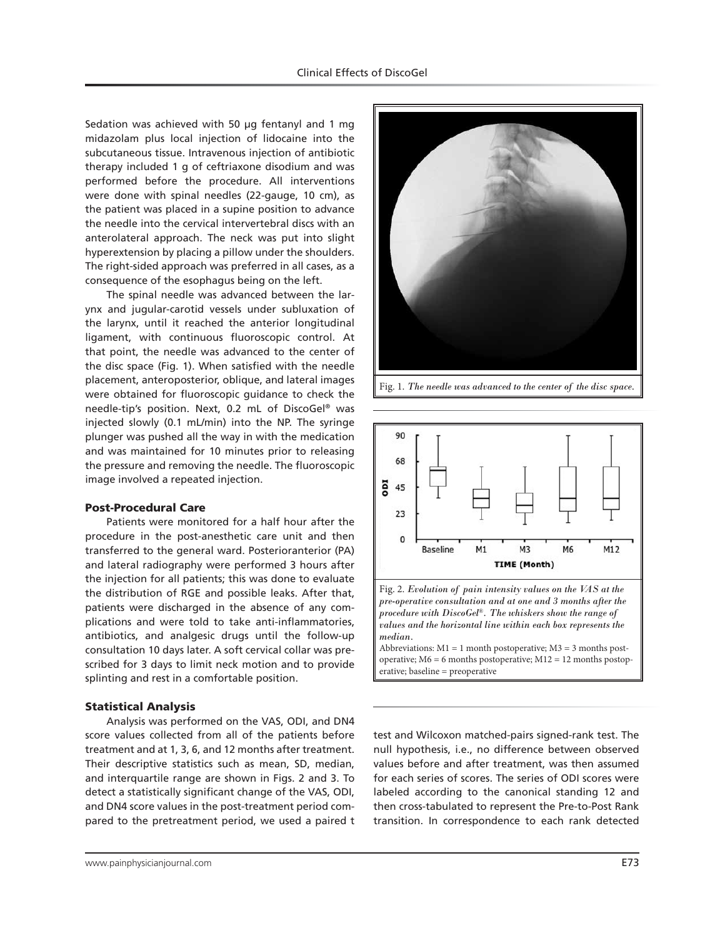Sedation was achieved with 50 μg fentanyl and 1 mg midazolam plus local injection of lidocaine into the subcutaneous tissue. Intravenous injection of antibiotic therapy included 1 g of ceftriaxone disodium and was performed before the procedure. All interventions were done with spinal needles (22-gauge, 10 cm), as the patient was placed in a supine position to advance the needle into the cervical intervertebral discs with an anterolateral approach. The neck was put into slight hyperextension by placing a pillow under the shoulders. The right-sided approach was preferred in all cases, as a consequence of the esophagus being on the left.

The spinal needle was advanced between the larynx and jugular-carotid vessels under subluxation of the larynx, until it reached the anterior longitudinal ligament, with continuous fluoroscopic control. At that point, the needle was advanced to the center of the disc space (Fig. 1). When satisfied with the needle placement, anteroposterior, oblique, and lateral images were obtained for fluoroscopic guidance to check the needle-tip's position. Next, 0.2 mL of DiscoGel® was injected slowly (0.1 mL/min) into the NP. The syringe plunger was pushed all the way in with the medication and was maintained for 10 minutes prior to releasing the pressure and removing the needle. The fluoroscopic image involved a repeated injection.

## Post-Procedural Care

Patients were monitored for a half hour after the procedure in the post-anesthetic care unit and then transferred to the general ward. Posterioranterior (PA) and lateral radiography were performed 3 hours after the injection for all patients; this was done to evaluate the distribution of RGE and possible leaks. After that, patients were discharged in the absence of any complications and were told to take anti-inflammatories, antibiotics, and analgesic drugs until the follow-up consultation 10 days later. A soft cervical collar was prescribed for 3 days to limit neck motion and to provide splinting and rest in a comfortable position.

#### Statistical Analysis

Analysis was performed on the VAS, ODI, and DN4 score values collected from all of the patients before treatment and at 1, 3, 6, and 12 months after treatment. Their descriptive statistics such as mean, SD, median, and interquartile range are shown in Figs. 2 and 3. To detect a statistically significant change of the VAS, ODI, and DN4 score values in the post-treatment period compared to the pretreatment period, we used a paired t



Fig. 1. *The needle was advanced to the center of the disc space.*



*pre-operative consultation and at one and 3 months after the procedure with DiscoGel®. The whiskers show the range of values and the horizontal line within each box represents the median.*  Abbreviations:  $M1 = 1$  month postoperative;  $M3 = 3$  months post-

operative; M6 = 6 months postoperative; M12 = 12 months postoperative; baseline = preoperative

test and Wilcoxon matched-pairs signed-rank test. The null hypothesis, i.e., no difference between observed values before and after treatment, was then assumed for each series of scores. The series of ODI scores were labeled according to the canonical standing 12 and then cross-tabulated to represent the Pre-to-Post Rank transition. In correspondence to each rank detected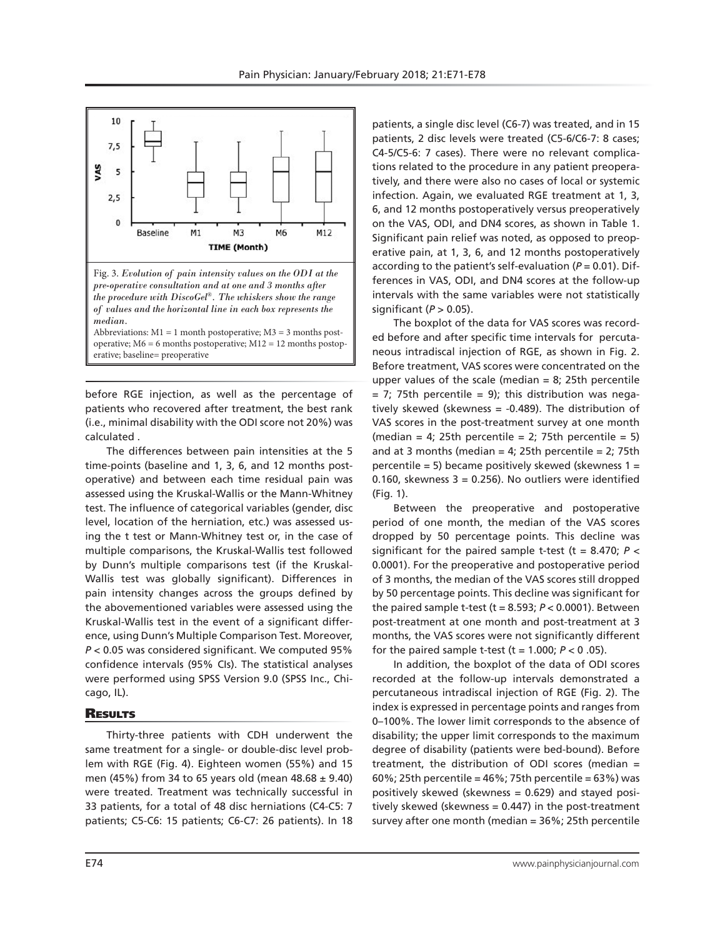

before RGE injection, as well as the percentage of patients who recovered after treatment, the best rank (i.e., minimal disability with the ODI score not 20%) was calculated .

The differences between pain intensities at the 5 time-points (baseline and 1, 3, 6, and 12 months postoperative) and between each time residual pain was assessed using the Kruskal-Wallis or the Mann-Whitney test. The influence of categorical variables (gender, disc level, location of the herniation, etc.) was assessed using the t test or Mann-Whitney test or, in the case of multiple comparisons, the Kruskal-Wallis test followed by Dunn's multiple comparisons test (if the Kruskal-Wallis test was globally significant). Differences in pain intensity changes across the groups defined by the abovementioned variables were assessed using the Kruskal-Wallis test in the event of a significant difference, using Dunn's Multiple Comparison Test. Moreover, *P* < 0.05 was considered significant. We computed 95% confidence intervals (95% CIs). The statistical analyses were performed using SPSS Version 9.0 (SPSS Inc., Chicago, IL).

# **RESULTS**

Thirty-three patients with CDH underwent the same treatment for a single- or double-disc level problem with RGE (Fig. 4). Eighteen women (55%) and 15 men (45%) from 34 to 65 years old (mean  $48.68 \pm 9.40$ ) were treated. Treatment was technically successful in 33 patients, for a total of 48 disc herniations (C4-C5: 7 patients; C5-C6: 15 patients; C6-C7: 26 patients). In 18 patients, a single disc level (C6-7) was treated, and in 15 patients, 2 disc levels were treated (C5-6/C6-7: 8 cases; C4-5/C5-6: 7 cases). There were no relevant complications related to the procedure in any patient preoperatively, and there were also no cases of local or systemic infection. Again, we evaluated RGE treatment at 1, 3, 6, and 12 months postoperatively versus preoperatively on the VAS, ODI, and DN4 scores, as shown in Table 1. Significant pain relief was noted, as opposed to preoperative pain, at 1, 3, 6, and 12 months postoperatively according to the patient's self-evaluation (*P* = 0.01). Differences in VAS, ODI, and DN4 scores at the follow-up intervals with the same variables were not statistically significant (*P* > 0.05).

The boxplot of the data for VAS scores was recorded before and after specific time intervals for percutaneous intradiscal injection of RGE, as shown in Fig. 2. Before treatment, VAS scores were concentrated on the upper values of the scale (median  $= 8$ ; 25th percentile  $= 7$ ; 75th percentile  $= 9$ ); this distribution was negatively skewed (skewness = -0.489). The distribution of VAS scores in the post-treatment survey at one month (median = 4; 25th percentile = 2; 75th percentile = 5) and at 3 months (median = 4; 25th percentile = 2; 75th percentile = 5) became positively skewed (skewness  $1 =$ 0.160, skewness  $3 = 0.256$ ). No outliers were identified (Fig. 1).

Between the preoperative and postoperative period of one month, the median of the VAS scores dropped by 50 percentage points. This decline was significant for the paired sample t-test ( $t = 8.470$ ;  $P <$ 0.0001). For the preoperative and postoperative period of 3 months, the median of the VAS scores still dropped by 50 percentage points. This decline was significant for the paired sample t-test (t = 8.593; *P* < 0.0001). Between post-treatment at one month and post-treatment at 3 months, the VAS scores were not significantly different for the paired sample t-test  $(t = 1.000; P < 0.05)$ .

In addition, the boxplot of the data of ODI scores recorded at the follow-up intervals demonstrated a percutaneous intradiscal injection of RGE (Fig. 2). The index is expressed in percentage points and ranges from 0–100%. The lower limit corresponds to the absence of disability; the upper limit corresponds to the maximum degree of disability (patients were bed-bound). Before treatment, the distribution of ODI scores (median = 60%; 25th percentile =  $46\%$ ; 75th percentile =  $63\%$ ) was positively skewed (skewness = 0.629) and stayed positively skewed (skewness  $= 0.447$ ) in the post-treatment survey after one month (median = 36%; 25th percentile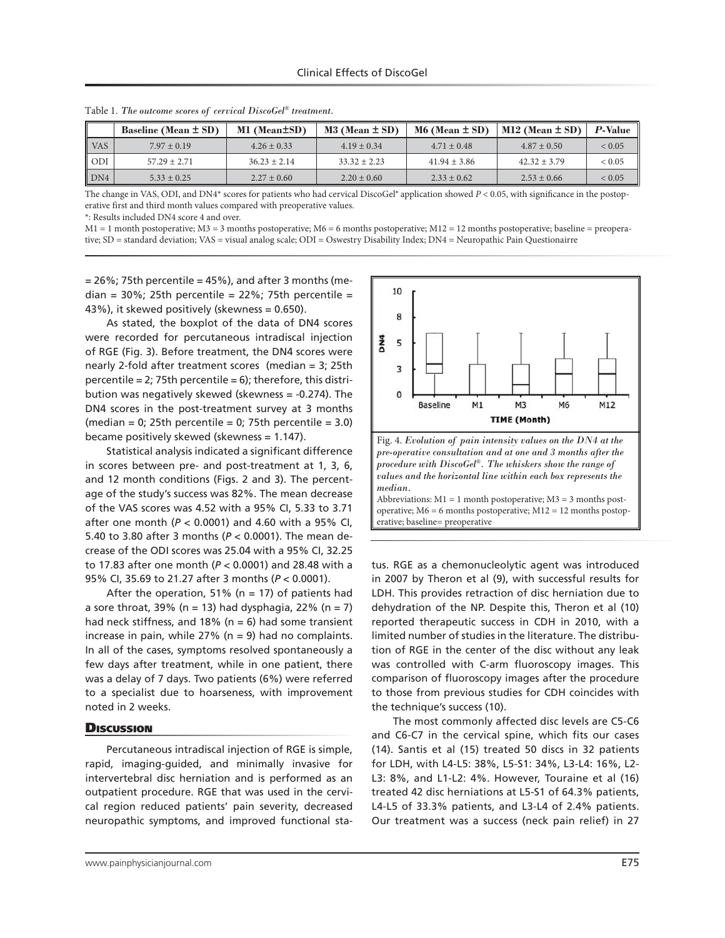|            | Baseline (Mean $\pm$ SD) | M1 (Mean±SD)     | $M3$ (Mean $\pm$ SD) | $M6$ (Mean $\pm$ SD) | $M12$ (Mean $\pm$ SD) | <b>P-Value</b> |
|------------|--------------------------|------------------|----------------------|----------------------|-----------------------|----------------|
| <b>VAS</b> | $7.97 \pm 0.19$          | $4.26 \pm 0.33$  | $4.19 \pm 0.34$      | $4.71 \pm 0.48$      | $4.87 \pm 0.50$       | ${}< 0.05$     |
| ODI        | $57.29 \pm 2.71$         | $36.23 \pm 2.14$ | $33.32 + 2.23$       | $41.94 \pm 3.86$     | $42.32 \pm 3.79$      | ${}< 0.05$     |
| DN4        | $5.33 \pm 0.25$          | $2.27 \pm 0.60$  | $2.20 \pm 0.60$      | $2.33 \pm 0.62$      | $2.53 + 0.66$         | ${}< 0.05$     |

Table 1. *The outcome scores of cervical DiscoGel® treatment.*

The change in VAS, ODI, and DN4<sup>\*</sup> scores for patients who had cervical DiscoGel® application showed *P* < 0.05, with significance in the postoperative first and third month values compared with preoperative values.

\*: Results included DN4 score 4 and over.

M1 = 1 month postoperative; M3 = 3 months postoperative; M6 = 6 months postoperative; M12 = 12 months postoperative; baseline = preoperative; SD = standard deviation; VAS = visual analog scale; ODI = Oswestry Disability Index; DN4 = Neuropathic Pain Questionairre

 $= 26\%$ ; 75th percentile  $= 45\%$ ), and after 3 months (median =  $30\%$ ; 25th percentile =  $22\%$ ; 75th percentile = 43%), it skewed positively (skewness = 0.650).

As stated, the boxplot of the data of DN4 scores were recorded for percutaneous intradiscal injection of RGE (Fig. 3). Before treatment, the DN4 scores were nearly 2-fold after treatment scores (median = 3; 25th percentile = 2; 75th percentile =  $6$ ); therefore, this distribution was negatively skewed (skewness = -0.274). The DN4 scores in the post-treatment survey at 3 months (median = 0; 25th percentile = 0; 75th percentile = 3.0) became positively skewed (skewness = 1.147).

Statistical analysis indicated a significant difference in scores between pre- and post-treatment at 1, 3, 6, and 12 month conditions (Figs. 2 and 3). The percentage of the study's success was 82%. The mean decrease of the VAS scores was 4.52 with a 95% CI, 5.33 to 3.71 after one month (*P* < 0.0001) and 4.60 with a 95% CI, 5.40 to 3.80 after 3 months (*P* < 0.0001). The mean decrease of the ODI scores was 25.04 with a 95% CI, 32.25 to 17.83 after one month (*P* < 0.0001) and 28.48 with a 95% CI, 35.69 to 21.27 after 3 months (*P* < 0.0001).

After the operation, 51% ( $n = 17$ ) of patients had a sore throat, 39% (n = 13) had dysphagia, 22% (n = 7) had neck stiffness, and 18% ( $n = 6$ ) had some transient increase in pain, while  $27\%$  (n = 9) had no complaints. In all of the cases, symptoms resolved spontaneously a few days after treatment, while in one patient, there was a delay of 7 days. Two patients (6%) were referred to a specialist due to hoarseness, with improvement noted in 2 weeks.

#### **Discussion**

Percutaneous intradiscal injection of RGE is simple, rapid, imaging-guided, and minimally invasive for intervertebral disc herniation and is performed as an outpatient procedure. RGE that was used in the cervical region reduced patients' pain severity, decreased neuropathic symptoms, and improved functional sta-



tus. RGE as a chemonucleolytic agent was introduced in 2007 by Theron et al (9), with successful results for LDH. This provides retraction of disc herniation due to dehydration of the NP. Despite this, Theron et al (10) reported therapeutic success in CDH in 2010, with a limited number of studies in the literature. The distribution of RGE in the center of the disc without any leak was controlled with C-arm fluoroscopy images. This comparison of fluoroscopy images after the procedure to those from previous studies for CDH coincides with the technique's success (10).

The most commonly affected disc levels are C5-C6 and C6-C7 in the cervical spine, which fits our cases (14). Santis et al (15) treated 50 discs in 32 patients for LDH, with L4-L5: 38%, L5-S1: 34%, L3-L4: 16%, L2- L3: 8%, and L1-L2: 4%. However, Touraine et al (16) treated 42 disc herniations at L5-S1 of 64.3% patients, L4-L5 of 33.3% patients, and L3-L4 of 2.4% patients. Our treatment was a success (neck pain relief) in 27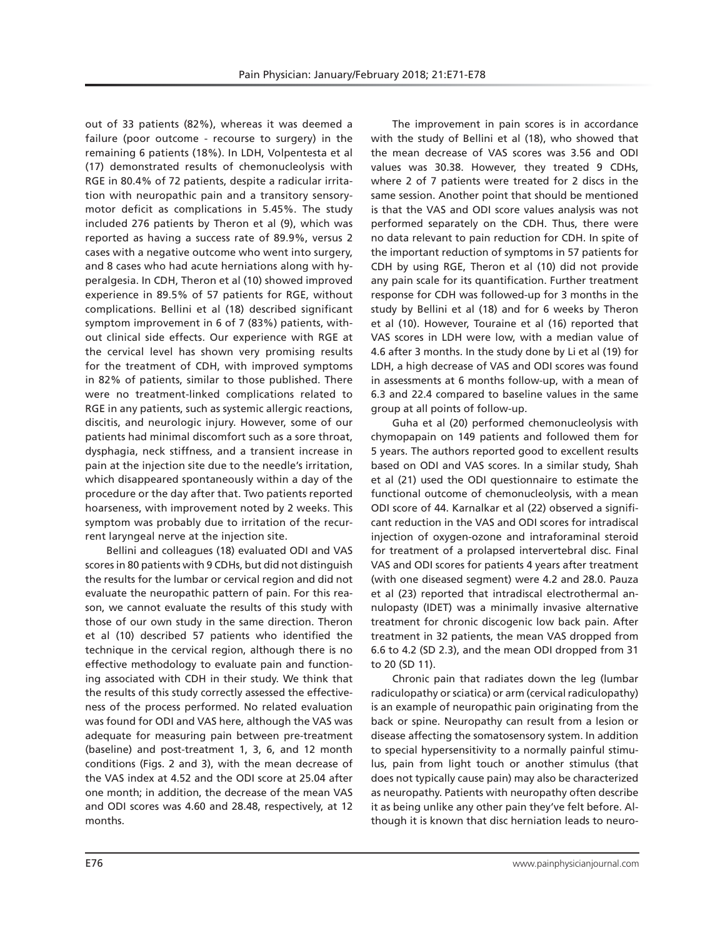out of 33 patients (82%), whereas it was deemed a failure (poor outcome - recourse to surgery) in the remaining 6 patients (18%). In LDH, Volpentesta et al (17) demonstrated results of chemonucleolysis with RGE in 80.4% of 72 patients, despite a radicular irritation with neuropathic pain and a transitory sensorymotor deficit as complications in 5.45%. The study included 276 patients by Theron et al (9), which was reported as having a success rate of 89.9%, versus 2 cases with a negative outcome who went into surgery, and 8 cases who had acute herniations along with hyperalgesia. In CDH, Theron et al (10) showed improved experience in 89.5% of 57 patients for RGE, without complications. Bellini et al (18) described significant symptom improvement in 6 of 7 (83%) patients, without clinical side effects. Our experience with RGE at the cervical level has shown very promising results for the treatment of CDH, with improved symptoms in 82% of patients, similar to those published. There were no treatment-linked complications related to RGE in any patients, such as systemic allergic reactions, discitis, and neurologic injury. However, some of our patients had minimal discomfort such as a sore throat, dysphagia, neck stiffness, and a transient increase in pain at the injection site due to the needle's irritation, which disappeared spontaneously within a day of the procedure or the day after that. Two patients reported hoarseness, with improvement noted by 2 weeks. This symptom was probably due to irritation of the recurrent laryngeal nerve at the injection site.

Bellini and colleagues (18) evaluated ODI and VAS scores in 80 patients with 9 CDHs, but did not distinguish the results for the lumbar or cervical region and did not evaluate the neuropathic pattern of pain. For this reason, we cannot evaluate the results of this study with those of our own study in the same direction. Theron et al (10) described 57 patients who identified the technique in the cervical region, although there is no effective methodology to evaluate pain and functioning associated with CDH in their study. We think that the results of this study correctly assessed the effectiveness of the process performed. No related evaluation was found for ODI and VAS here, although the VAS was adequate for measuring pain between pre-treatment (baseline) and post-treatment 1, 3, 6, and 12 month conditions (Figs. 2 and 3), with the mean decrease of the VAS index at 4.52 and the ODI score at 25.04 after one month; in addition, the decrease of the mean VAS and ODI scores was 4.60 and 28.48, respectively, at 12 months.

The improvement in pain scores is in accordance with the study of Bellini et al (18), who showed that the mean decrease of VAS scores was 3.56 and ODI values was 30.38. However, they treated 9 CDHs, where 2 of 7 patients were treated for 2 discs in the same session. Another point that should be mentioned is that the VAS and ODI score values analysis was not performed separately on the CDH. Thus, there were no data relevant to pain reduction for CDH. In spite of the important reduction of symptoms in 57 patients for CDH by using RGE, Theron et al (10) did not provide any pain scale for its quantification. Further treatment response for CDH was followed-up for 3 months in the study by Bellini et al (18) and for 6 weeks by Theron et al (10). However, Touraine et al (16) reported that VAS scores in LDH were low, with a median value of 4.6 after 3 months. In the study done by Li et al (19) for LDH, a high decrease of VAS and ODI scores was found in assessments at 6 months follow-up, with a mean of 6.3 and 22.4 compared to baseline values in the same group at all points of follow-up.

Guha et al (20) performed chemonucleolysis with chymopapain on 149 patients and followed them for 5 years. The authors reported good to excellent results based on ODI and VAS scores. In a similar study, Shah et al (21) used the ODI questionnaire to estimate the functional outcome of chemonucleolysis, with a mean ODI score of 44. Karnalkar et al (22) observed a significant reduction in the VAS and ODI scores for intradiscal injection of oxygen-ozone and intraforaminal steroid for treatment of a prolapsed intervertebral disc. Final VAS and ODI scores for patients 4 years after treatment (with one diseased segment) were 4.2 and 28.0. Pauza et al (23) reported that intradiscal electrothermal annulopasty (IDET) was a minimally invasive alternative treatment for chronic discogenic low back pain. After treatment in 32 patients, the mean VAS dropped from 6.6 to 4.2 (SD 2.3), and the mean ODI dropped from 31 to 20 (SD 11).

Chronic pain that radiates down the leg (lumbar radiculopathy or sciatica) or arm (cervical radiculopathy) is an example of neuropathic pain originating from the back or spine. Neuropathy can result from a lesion or disease affecting the somatosensory system. In addition to special hypersensitivity to a normally painful stimulus, pain from light touch or another stimulus (that does not typically cause pain) may also be characterized as neuropathy. Patients with neuropathy often describe it as being unlike any other pain they've felt before. Although it is known that disc herniation leads to neuro-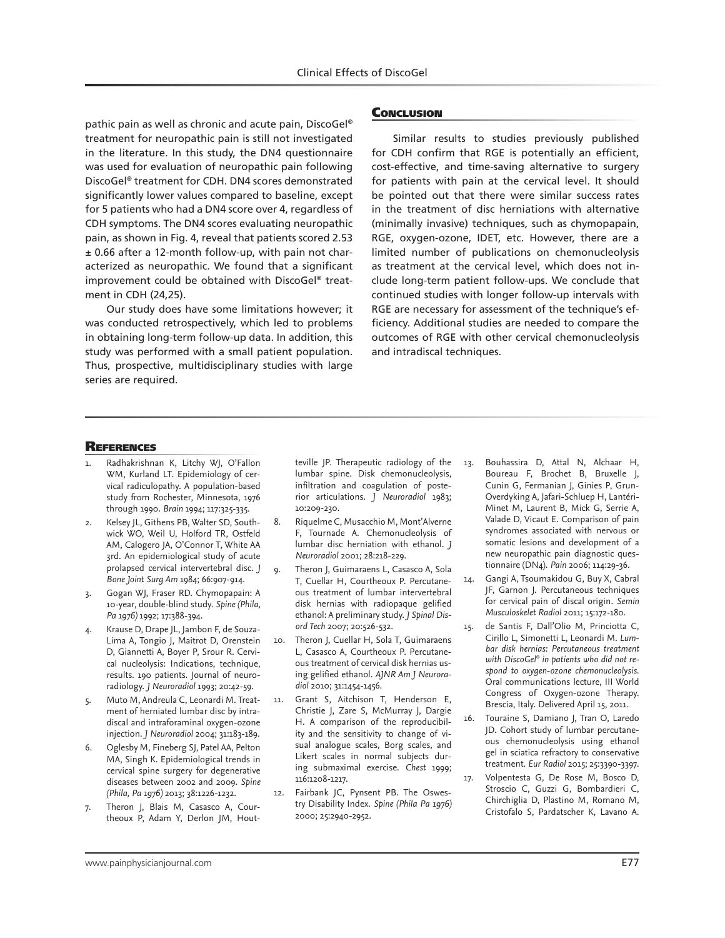pathic pain as well as chronic and acute pain, DiscoGel® treatment for neuropathic pain is still not investigated in the literature. In this study, the DN4 questionnaire was used for evaluation of neuropathic pain following DiscoGel® treatment for CDH. DN4 scores demonstrated significantly lower values compared to baseline, except for 5 patients who had a DN4 score over 4, regardless of CDH symptoms. The DN4 scores evaluating neuropathic pain, as shown in Fig. 4, reveal that patients scored 2.53 ± 0.66 after a 12-month follow-up, with pain not characterized as neuropathic. We found that a significant improvement could be obtained with DiscoGel® treatment in CDH (24,25).

Our study does have some limitations however; it was conducted retrospectively, which led to problems in obtaining long-term follow-up data. In addition, this study was performed with a small patient population. Thus, prospective, multidisciplinary studies with large series are required.

#### **CONCLUSION**

Similar results to studies previously published for CDH confirm that RGE is potentially an efficient, cost-effective, and time-saving alternative to surgery for patients with pain at the cervical level. It should be pointed out that there were similar success rates in the treatment of disc herniations with alternative (minimally invasive) techniques, such as chymopapain, RGE, oxygen-ozone, IDET, etc. However, there are a limited number of publications on chemonucleolysis as treatment at the cervical level, which does not include long-term patient follow-ups. We conclude that continued studies with longer follow-up intervals with RGE are necessary for assessment of the technique's efficiency. Additional studies are needed to compare the outcomes of RGE with other cervical chemonucleolysis and intradiscal techniques.

#### **REFERENCES**

- Radhakrishnan K, Litchy WJ, O'Fallon WM, Kurland LT. Epidemiology of cervical radiculopathy. A population-based study from Rochester, Minnesota, 1976 through 1990. *Brain* 1994; 117:325-335.
- Kelsey JL, Githens PB, Walter SD, Southwick WO, Weil U, Holford TR, Ostfeld AM, Calogero JA, O'Connor T, White AA 3rd. An epidemiological study of acute prolapsed cervical intervertebral disc. *J Bone Joint Surg Am* 1984; 66:907-914.
- 3. Gogan WJ, Fraser RD. Chymopapain: A 10-year, double-blind study. *Spine (Phila, Pa 1976)* 1992; 17:388-394.
- 4. Krause D, Drape JL, Jambon F, de Souza-Lima A, Tongio J, Maitrot D, Orenstein D, Giannetti A, Boyer P, Srour R. Cervical nucleolysis: Indications, technique, results. 190 patients. Journal of neuroradiology. *J Neuroradiol* 1993; 20:42-59.
- 5. Muto M, Andreula C, Leonardi M. Treatment of herniated lumbar disc by intradiscal and intraforaminal oxygen-ozone injection*. J Neuroradiol* 2004; 31:183-189.
- Oglesby M, Fineberg SJ, Patel AA, Pelton MA, Singh K. Epidemiological trends in cervical spine surgery for degenerative diseases between 2002 and 2009. *Spine (Phila, Pa 1976)* 2013; 38:1226-1232.
- 7. Theron J, Blais M, Casasco A, Courtheoux P, Adam Y, Derlon JM, Hout-

teville JP. Therapeutic radiology of the lumbar spine. Disk chemonucleolysis, infiltration and coagulation of posterior articulations. *J Neuroradiol* 1983; 10:209-230.

- 8. Riquelme C, Musacchio M, Mont'Alverne F, Tournade A. Chemonucleolysis of lumbar disc herniation with ethanol. *J Neuroradiol* 2001; 28:218-229.
- 9. Theron J, Guimaraens L, Casasco A, Sola T, Cuellar H, Courtheoux P. Percutaneous treatment of lumbar intervertebral disk hernias with radiopaque gelified ethanol: A preliminary study. *J Spinal Disord Tech* 2007; 20:526-532.
- 10. Theron J, Cuellar H, Sola T, Guimaraens L, Casasco A, Courtheoux P. Percutaneous treatment of cervical disk hernias using gelified ethanol. *AJNR Am J Neuroradiol* 2010; 31:1454-1456.
- 11. Grant S, Aitchison T, Henderson E, Christie J, Zare S, McMurray J, Dargie H. A comparison of the reproducibility and the sensitivity to change of visual analogue scales, Borg scales, and Likert scales in normal subjects during submaximal exercise. *Chest* 1999; 116:1208-1217.
- 12. Fairbank JC, Pynsent PB. The Oswestry Disability Index. *Spine (Phila Pa 1976)* 2000; 25:2940-2952.
- 13. Bouhassira D, Attal N, Alchaar H, Boureau F, Brochet B, Bruxelle J, Cunin G, Fermanian J, Ginies P, Grun-Overdyking A, Jafari-Schluep H, Lantéri-Minet M, Laurent B, Mick G, Serrie A, Valade D, Vicaut E. Comparison of pain syndromes associated with nervous or somatic lesions and development of a new neuropathic pain diagnostic questionnaire (DN4). *Pain* 2006; 114:29-36.
- 14. Gangi A, Tsoumakidou G, Buy X, Cabral JF, Garnon J. Percutaneous techniques for cervical pain of discal origin. *Semin Musculoskelet Radiol* 2011; 15:172-180.
- 15. de Santis F, Dall'Olio M, Princiotta C, Cirillo L, Simonetti L, Leonardi M. *Lumbar disk hernias: Percutaneous treatment with DiscoGel® in patients who did not respond to oxygen-ozone chemonucleolysis*. Oral communications lecture, III World Congress of Oxygen-ozone Therapy. Brescia, Italy. Delivered April 15, 2011.
- 16. Touraine S, Damiano J, Tran O, Laredo JD. Cohort study of lumbar percutaneous chemonucleolysis using ethanol gel in sciatica refractory to conservative treatment. *Eur Radiol* 2015; 25:3390-3397.
- 17. Volpentesta G, De Rose M, Bosco D, Stroscio C, Guzzi G, Bombardieri C, Chirchiglia D, Plastino M, Romano M, Cristofalo S, Pardatscher K, Lavano A.